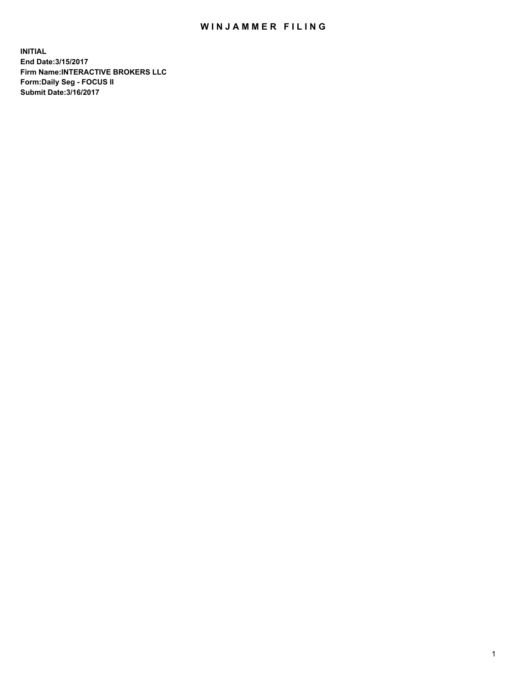## WIN JAMMER FILING

**INITIAL End Date:3/15/2017 Firm Name:INTERACTIVE BROKERS LLC Form:Daily Seg - FOCUS II Submit Date:3/16/2017**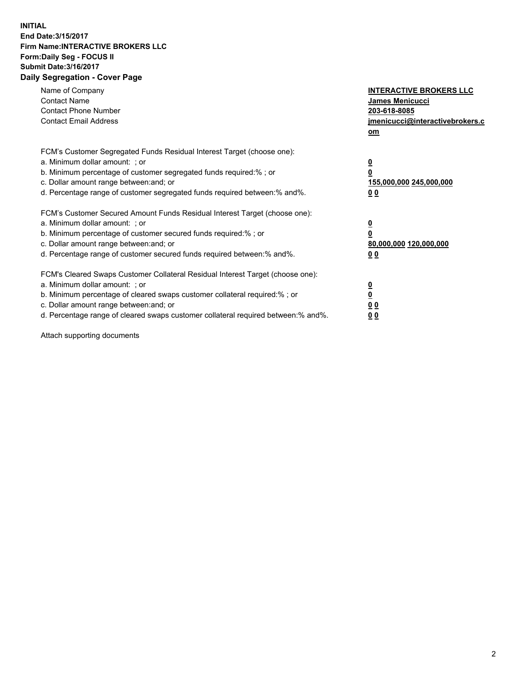## **INITIAL End Date:3/15/2017 Firm Name:INTERACTIVE BROKERS LLC Form:Daily Seg - FOCUS II Submit Date:3/16/2017 Daily Segregation - Cover Page**

| Name of Company<br><b>Contact Name</b><br><b>Contact Phone Number</b><br><b>Contact Email Address</b>                                                                                                                                                                                                                          | <b>INTERACTIVE BROKERS LLC</b><br>James Menicucci<br>203-618-8085<br>jmenicucci@interactivebrokers.c<br>om |
|--------------------------------------------------------------------------------------------------------------------------------------------------------------------------------------------------------------------------------------------------------------------------------------------------------------------------------|------------------------------------------------------------------------------------------------------------|
| FCM's Customer Segregated Funds Residual Interest Target (choose one):<br>a. Minimum dollar amount: ; or<br>b. Minimum percentage of customer segregated funds required:%; or<br>c. Dollar amount range between: and; or<br>d. Percentage range of customer segregated funds required between:% and%.                          | $\overline{\mathbf{0}}$<br>0<br>155,000,000 245,000,000<br>0 <sub>0</sub>                                  |
| FCM's Customer Secured Amount Funds Residual Interest Target (choose one):<br>a. Minimum dollar amount: ; or<br>b. Minimum percentage of customer secured funds required:%; or<br>c. Dollar amount range between: and; or<br>d. Percentage range of customer secured funds required between:% and%.                            | $\overline{\mathbf{0}}$<br>$\overline{\mathbf{0}}$<br>80,000,000 120,000,000<br>00                         |
| FCM's Cleared Swaps Customer Collateral Residual Interest Target (choose one):<br>a. Minimum dollar amount: ; or<br>b. Minimum percentage of cleared swaps customer collateral required:% ; or<br>c. Dollar amount range between: and; or<br>d. Percentage range of cleared swaps customer collateral required between:% and%. | $\overline{\mathbf{0}}$<br>$\overline{\mathbf{0}}$<br>0 <sub>0</sub><br><u>00</u>                          |

Attach supporting documents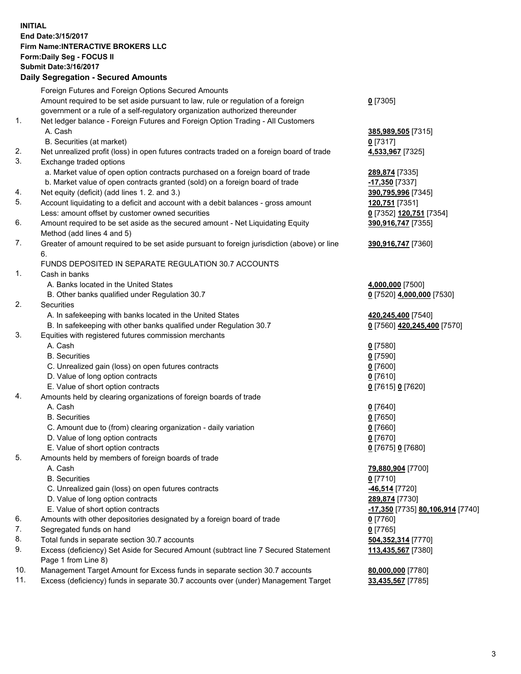## **INITIAL End Date:3/15/2017 Firm Name:INTERACTIVE BROKERS LLC Form:Daily Seg - FOCUS II Submit Date:3/16/2017 Daily Segregation - Secured Amounts**

|     | <b>Pany Ovgrogation Coodrog</b> / 11110ania                                                                |                                  |
|-----|------------------------------------------------------------------------------------------------------------|----------------------------------|
|     | Foreign Futures and Foreign Options Secured Amounts                                                        |                                  |
|     | Amount required to be set aside pursuant to law, rule or regulation of a foreign                           | $0$ [7305]                       |
|     | government or a rule of a self-regulatory organization authorized thereunder                               |                                  |
| 1.  | Net ledger balance - Foreign Futures and Foreign Option Trading - All Customers                            |                                  |
|     | A. Cash                                                                                                    | 385,989,505 [7315]               |
|     | B. Securities (at market)                                                                                  | $0$ [7317]                       |
| 2.  | Net unrealized profit (loss) in open futures contracts traded on a foreign board of trade                  | 4,533,967 [7325]                 |
| 3.  | Exchange traded options                                                                                    |                                  |
|     | a. Market value of open option contracts purchased on a foreign board of trade                             | 289,874 [7335]                   |
|     | b. Market value of open contracts granted (sold) on a foreign board of trade                               | -17,350 [7337]                   |
| 4.  | Net equity (deficit) (add lines 1.2. and 3.)                                                               | 390,795,996 [7345]               |
| 5.  | Account liquidating to a deficit and account with a debit balances - gross amount                          | 120,751 [7351]                   |
|     | Less: amount offset by customer owned securities                                                           | 0 [7352] 120,751 [7354]          |
| 6.  | Amount required to be set aside as the secured amount - Net Liquidating Equity                             | 390,916,747 [7355]               |
|     | Method (add lines 4 and 5)                                                                                 |                                  |
| 7.  | Greater of amount required to be set aside pursuant to foreign jurisdiction (above) or line                | 390,916,747 [7360]               |
|     | 6.                                                                                                         |                                  |
|     | FUNDS DEPOSITED IN SEPARATE REGULATION 30.7 ACCOUNTS                                                       |                                  |
| 1.  | Cash in banks                                                                                              |                                  |
|     | A. Banks located in the United States                                                                      | 4,000,000 [7500]                 |
|     | B. Other banks qualified under Regulation 30.7                                                             | 0 [7520] 4,000,000 [7530]        |
| 2.  | Securities                                                                                                 |                                  |
|     | A. In safekeeping with banks located in the United States                                                  | 420,245,400 [7540]               |
|     | B. In safekeeping with other banks qualified under Regulation 30.7                                         | 0 [7560] 420,245,400 [7570]      |
| 3.  | Equities with registered futures commission merchants                                                      |                                  |
|     | A. Cash                                                                                                    | $0$ [7580]                       |
|     | <b>B.</b> Securities                                                                                       | $0$ [7590]                       |
|     | C. Unrealized gain (loss) on open futures contracts                                                        | $0$ [7600]                       |
|     | D. Value of long option contracts                                                                          | $0$ [7610]                       |
|     | E. Value of short option contracts                                                                         | 0 [7615] 0 [7620]                |
| 4.  | Amounts held by clearing organizations of foreign boards of trade                                          |                                  |
|     | A. Cash                                                                                                    | $0$ [7640]                       |
|     | <b>B.</b> Securities                                                                                       | $0$ [7650]                       |
|     | C. Amount due to (from) clearing organization - daily variation                                            | $0$ [7660]                       |
|     | D. Value of long option contracts                                                                          | $0$ [7670]                       |
|     | E. Value of short option contracts                                                                         | 0 [7675] 0 [7680]                |
| 5.  | Amounts held by members of foreign boards of trade                                                         |                                  |
|     | A. Cash                                                                                                    | 79,880,904 [7700]                |
|     | <b>B.</b> Securities                                                                                       | $0$ [7710]                       |
|     | C. Unrealized gain (loss) on open futures contracts                                                        | -46,514 [7720]                   |
|     | D. Value of long option contracts                                                                          | 289,874 [7730]                   |
|     | E. Value of short option contracts                                                                         | -17,350 [7735] 80,106,914 [7740] |
| 6.  | Amounts with other depositories designated by a foreign board of trade                                     | 0 [7760]                         |
| 7.  | Segregated funds on hand                                                                                   | $0$ [7765]                       |
| 8.  | Total funds in separate section 30.7 accounts                                                              | 504,352,314 [7770]               |
| 9.  | Excess (deficiency) Set Aside for Secured Amount (subtract line 7 Secured Statement<br>Page 1 from Line 8) | 113,435,567 [7380]               |
| 10. | Management Target Amount for Excess funds in separate section 30.7 accounts                                | 80,000,000 [7780]                |
| 11. | Excess (deficiency) funds in separate 30.7 accounts over (under) Management Target                         | 33,435,567 [7785]                |
|     |                                                                                                            |                                  |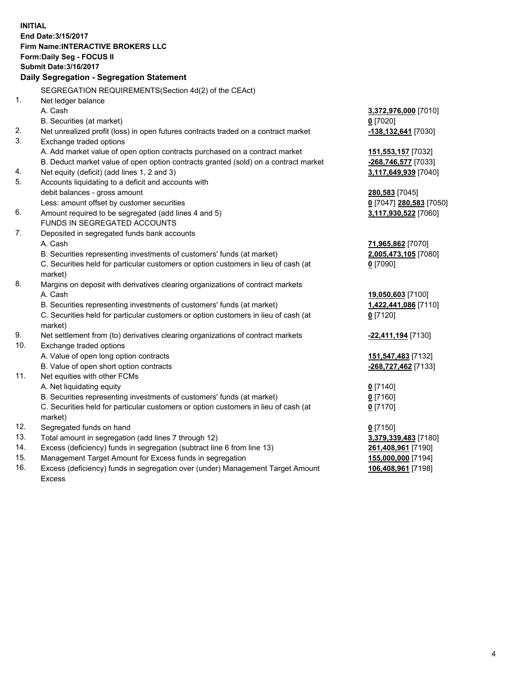**INITIAL End Date:3/15/2017 Firm Name:INTERACTIVE BROKERS LLC Form:Daily Seg - FOCUS II Submit Date:3/16/2017 Daily Segregation - Segregation Statement** SEGREGATION REQUIREMENTS(Section 4d(2) of the CEAct) 1. Net ledger balance A. Cash **3,372,976,000** [7010] B. Securities (at market) **0** [7020] 2. Net unrealized profit (loss) in open futures contracts traded on a contract market **-138,132,641** [7030] 3. Exchange traded options A. Add market value of open option contracts purchased on a contract market **151,553,157** [7032] B. Deduct market value of open option contracts granted (sold) on a contract market **-268,746,577** [7033] 4. Net equity (deficit) (add lines 1, 2 and 3) **3,117,649,939** [7040] 5. Accounts liquidating to a deficit and accounts with debit balances - gross amount **280,583** [7045] Less: amount offset by customer securities **0** [7047] **280,583** [7050] 6. Amount required to be segregated (add lines 4 and 5) **3,117,930,522** [7060] FUNDS IN SEGREGATED ACCOUNTS 7. Deposited in segregated funds bank accounts A. Cash **71,965,862** [7070] B. Securities representing investments of customers' funds (at market) **2,005,473,105** [7080] C. Securities held for particular customers or option customers in lieu of cash (at market) **0** [7090] 8. Margins on deposit with derivatives clearing organizations of contract markets A. Cash **19,050,603** [7100] B. Securities representing investments of customers' funds (at market) **1,422,441,086** [7110] C. Securities held for particular customers or option customers in lieu of cash (at market) **0** [7120] 9. Net settlement from (to) derivatives clearing organizations of contract markets **-22,411,194** [7130] 10. Exchange traded options A. Value of open long option contracts **151,547,483** [7132] B. Value of open short option contracts **-268,727,462** [7133] 11. Net equities with other FCMs A. Net liquidating equity **0** [7140] B. Securities representing investments of customers' funds (at market) **0** [7160] C. Securities held for particular customers or option customers in lieu of cash (at market) **0** [7170] 12. Segregated funds on hand **0** [7150] 13. Total amount in segregation (add lines 7 through 12) **3,379,339,483** [7180] 14. Excess (deficiency) funds in segregation (subtract line 6 from line 13) **261,408,961** [7190] 15. Management Target Amount for Excess funds in segregation **155,000,000** [7194] 16. Excess (deficiency) funds in segregation over (under) Management Target Amount **106,408,961** [7198]

Excess